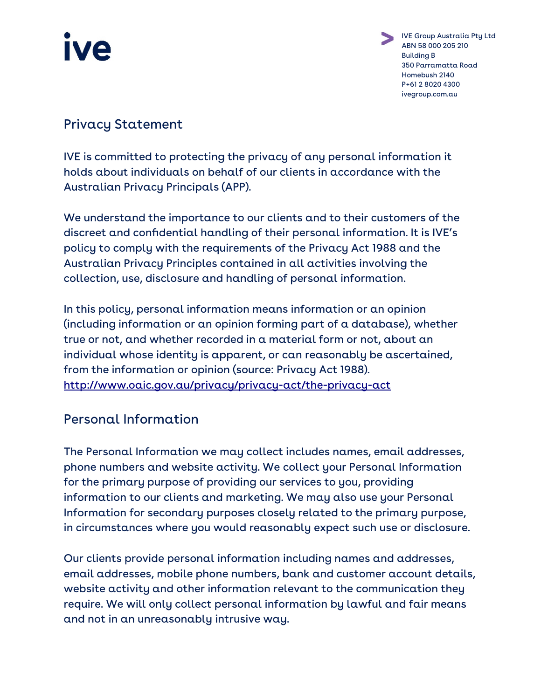# Privacy Statement

IVE is committed to protecting the privacy of any personal information it holds about individuals on behalf of our clients in accordance with the Australian Privacy Principals (APP).

We understand the importance to our clients and to their customers of the discreet and confidential handling of their personal information. It is IVE's policy to comply with the requirements of the Privacy Act 1988 and the Australian Privacy Principles contained in all activities involving the collection, use, disclosure and handling of personal information.

In this policy, personal information means information or an opinion (including information or an opinion forming part of a database), whether true or not, and whether recorded in a material form or not, about an individual whose identity is apparent, or can reasonably be ascertained, from the information or opinion (source: Privacy Act 1988). <http://www.oaic.gov.au/privacy/privacy-act/the-privacy-act>

## Personal Information

The Personal Information we may collect includes names, email addresses, phone numbers and website activity. We collect your Personal Information for the primary purpose of providing our services to you, providing information to our clients and marketing. We may also use your Personal Information for secondary purposes closely related to the primary purpose, in circumstances where you would reasonably expect such use or disclosure.

Our clients provide personal information including names and addresses, email addresses, mobile phone numbers, bank and customer account details, website activity and other information relevant to the communication they require. We will only collect personal information by lawful and fair means and not in an unreasonably intrusive way.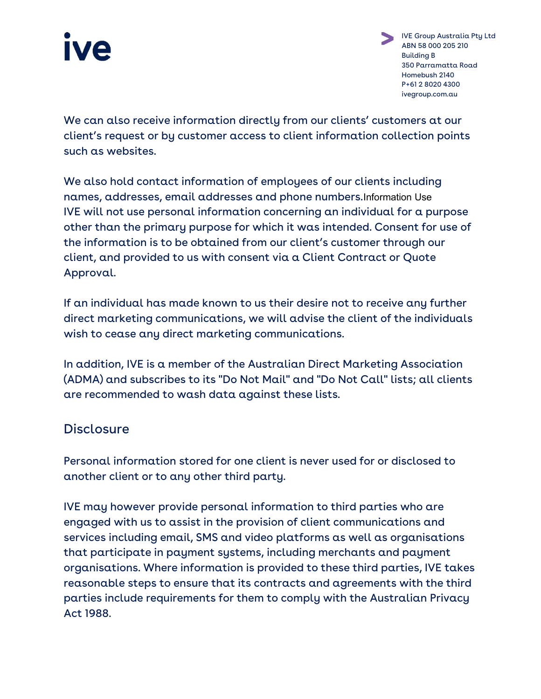We can also receive information directly from our clients' customers at our client's request or by customer access to client information collection points such as websites.

We also hold contact information of employees of our clients including names, addresses, email addresses and phone numbers.Information Use IVE will not use personal information concerning an individual for a purpose other than the primary purpose for which it was intended. Consent for use of the information is to be obtained from our client's customer through our client, and provided to us with consent via a Client Contract or Quote Approval.

If an individual has made known to us their desire not to receive any further direct marketing communications, we will advise the client of the individuals wish to cease any direct marketing communications.

In addition, IVE is a member of the Australian Direct Marketing Association (ADMA) and subscribes to its "Do Not Mail" and "Do Not Call" lists; all clients are recommended to wash data against these lists.

## **Disclosure**

Personal information stored for one client is never used for or disclosed to another client or to any other third party.

IVE may however provide personal information to third parties who are engaged with us to assist in the provision of client communications and services including email, SMS and video platforms as well as organisations that participate in payment systems, including merchants and payment organisations. Where information is provided to these third parties, IVE takes reasonable steps to ensure that its contracts and agreements with the third parties include requirements for them to comply with the Australian Privacy Act 1988.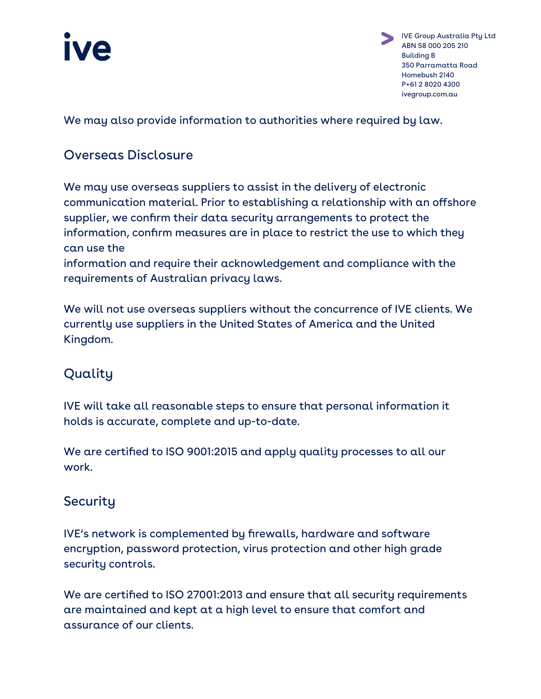

We may also provide information to authorities where required by law.

# Overseas Disclosure

We may use overseas suppliers to assist in the delivery of electronic communication material. Prior to establishing a relationship with an offshore supplier, we confirm their data security arrangements to protect the information, confirm measures are in place to restrict the use to which they can use the information and require their acknowledgement and compliance with the requirements of Australian privacy laws.

We will not use overseas suppliers without the concurrence of IVE clients. We currently use suppliers in the United States of America and the United Kingdom.

# Quality

IVE will take all reasonable steps to ensure that personal information it holds is accurate, complete and up-to-date.

We are certified to ISO 9001:2015 and apply quality processes to all our work.

## **Security**

IVE's network is complemented by firewalls, hardware and software encryption, password protection, virus protection and other high grade security controls.

We are certified to ISO 27001:2013 and ensure that all security requirements are maintained and kept at a high level to ensure that comfort and assurance of our clients.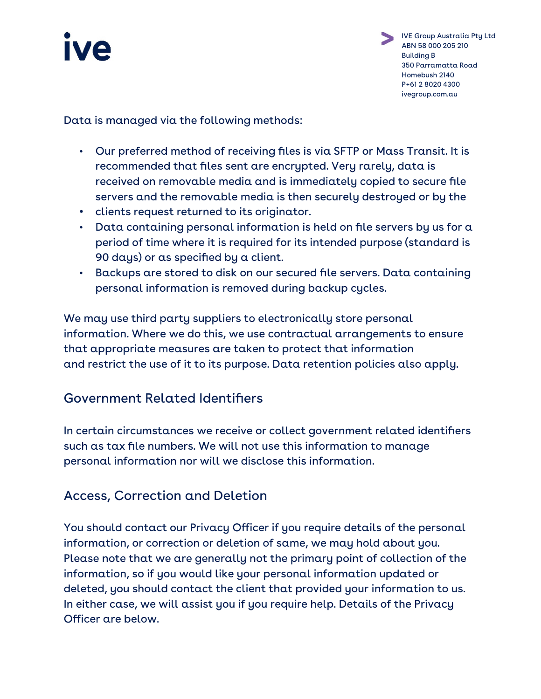

Data is managed via the following methods:

- Our preferred method of receiving files is via SFTP or Mass Transit. It is recommended that files sent are encrypted. Very rarely, data is received on removable media and is immediately copied to secure file servers and the removable media is then securely destroyed or by the
- clients request returned to its originator.
- Data containing personal information is held on file servers by us for a period of time where it is required for its intended purpose (standard is 90 days) or as specified by a client.
- Backups are stored to disk on our secured file servers. Data containing personal information is removed during backup cycles.

We may use third party suppliers to electronically store personal information. Where we do this, we use contractual arrangements to ensure that appropriate measures are taken to protect that information and restrict the use of it to its purpose. Data retention policies also apply.

## Government Related Identifiers

In certain circumstances we receive or collect government related identifiers such as tax file numbers. We will not use this information to manage personal information nor will we disclose this information.

## Access, Correction and Deletion

You should contact our Privacy Officer if you require details of the personal information, or correction or deletion of same, we may hold about you. Please note that we are generally not the primary point of collection of the information, so if you would like your personal information updated or deleted, you should contact the client that provided your information to us. In either case, we will assist you if you require help. Details of the Privacy Officer are below.